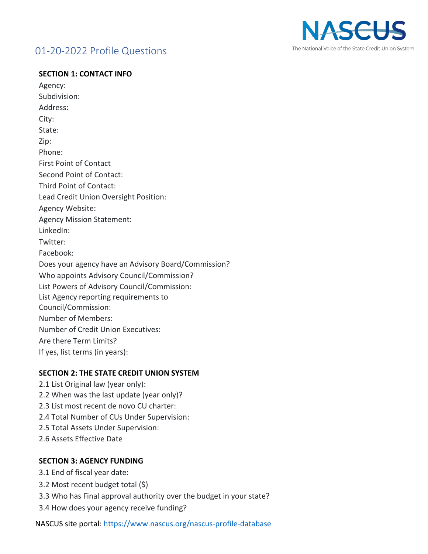# 01-20-2022 Profile Questions



#### **SECTION 1: CONTACT INFO**

Agency: Subdivision: Address: City: State: Zip: Phone: First Point of Contact Second Point of Contact: Third Point of Contact: Lead Credit Union Oversight Position: Agency Website: Agency Mission Statement: LinkedIn: Twitter: Facebook: Does your agency have an Advisory Board/Commission? Who appoints Advisory Council/Commission? List Powers of Advisory Council/Commission: List Agency reporting requirements to Council/Commission: Number of Members: Number of Credit Union Executives: Are there Term Limits? If yes, list terms (in years):

### **SECTION 2: THE STATE CREDIT UNION SYSTEM**

2.1 List Original law (year only): 2.2 When was the last update (year only)? 2.3 List most recent de novo CU charter: 2.4 Total Number of CUs Under Supervision: 2.5 Total Assets Under Supervision: 2.6 Assets Effective Date

### **SECTION 3: AGENCY FUNDING**

- 3.1 End of fiscal year date:
- 3.2 Most recent budget total (\$)
- 3.3 Who has Final approval authority over the budget in your state?
- 3.4 How does your agency receive funding?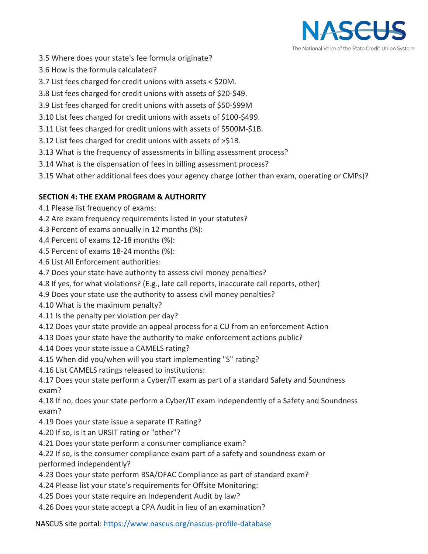

- 3.5 Where does your state's fee formula originate?
- 3.6 How is the formula calculated?
- 3.7 List fees charged for credit unions with assets < \$20M.
- 3.8 List fees charged for credit unions with assets of \$20-\$49.
- 3.9 List fees charged for credit unions with assets of \$50-\$99M
- 3.10 List fees charged for credit unions with assets of \$100-\$499.
- 3.11 List fees charged for credit unions with assets of \$500M-\$1B.
- 3.12 List fees charged for credit unions with assets of >\$1B.
- 3.13 What is the frequency of assessments in billing assessment process?
- 3.14 What is the dispensation of fees in billing assessment process?
- 3.15 What other additional fees does your agency charge (other than exam, operating or CMPs)?

## **SECTION 4: THE EXAM PROGRAM & AUTHORITY**

- 4.1 Please list frequency of exams:
- 4.2 Are exam frequency requirements listed in your statutes?
- 4.3 Percent of exams annually in 12 months (%):
- 4.4 Percent of exams 12-18 months (%):
- 4.5 Percent of exams 18-24 months (%):
- 4.6 List All Enforcement authorities:
- 4.7 Does your state have authority to assess civil money penalties?
- 4.8 If yes, for what violations? (E.g., late call reports, inaccurate call reports, other)
- 4.9 Does your state use the authority to assess civil money penalties?
- 4.10 What is the maximum penalty?
- 4.11 Is the penalty per violation per day?
- 4.12 Does your state provide an appeal process for a CU from an enforcement Action
- 4.13 Does your state have the authority to make enforcement actions public?
- 4.14 Does your state issue a CAMELS rating?
- 4.15 When did you/when will you start implementing "S" rating?
- 4.16 List CAMELS ratings released to institutions:
- 4.17 Does your state perform a Cyber/IT exam as part of a standard Safety and Soundness exam?

4.18 If no, does your state perform a Cyber/IT exam independently of a Safety and Soundness exam?

- 4.19 Does your state issue a separate IT Rating?
- 4.20 If so, is it an URSIT rating or "other"?
- 4.21 Does your state perform a consumer compliance exam?
- 4.22 If so, is the consumer compliance exam part of a safety and soundness exam or performed independently?
- 4.23 Does your state perform BSA/OFAC Compliance as part of standard exam?
- 4.24 Please list your state's requirements for Offsite Monitoring:
- 4.25 Does your state require an Independent Audit by law?
- 4.26 Does your state accept a CPA Audit in lieu of an examination?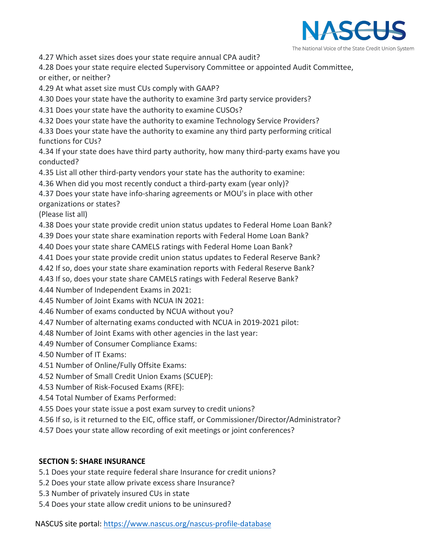

4.27 Which asset sizes does your state require annual CPA audit?

4.28 Does your state require elected Supervisory Committee or appointed Audit Committee, or either, or neither?

4.29 At what asset size must CUs comply with GAAP?

4.30 Does your state have the authority to examine 3rd party service providers?

4.31 Does your state have the authority to examine CUSOs?

4.32 Does your state have the authority to examine Technology Service Providers?

4.33 Does your state have the authority to examine any third party performing critical functions for CUs?

4.34 If your state does have third party authority, how many third-party exams have you conducted?

4.35 List all other third-party vendors your state has the authority to examine:

4.36 When did you most recently conduct a third-party exam (year only)?

4.37 Does your state have info-sharing agreements or MOU's in place with other organizations or states?

(Please list all)

4.38 Does your state provide credit union status updates to Federal Home Loan Bank?

4.39 Does your state share examination reports with Federal Home Loan Bank?

4.40 Does your state share CAMELS ratings with Federal Home Loan Bank?

4.41 Does your state provide credit union status updates to Federal Reserve Bank?

4.42 If so, does your state share examination reports with Federal Reserve Bank?

4.43 If so, does your state share CAMELS ratings with Federal Reserve Bank?

4.44 Number of Independent Exams in 2021:

4.45 Number of Joint Exams with NCUA IN 2021:

4.46 Number of exams conducted by NCUA without you?

4.47 Number of alternating exams conducted with NCUA in 2019-2021 pilot:

4.48 Number of Joint Exams with other agencies in the last year:

4.49 Number of Consumer Compliance Exams:

4.50 Number of IT Exams:

4.51 Number of Online/Fully Offsite Exams:

4.52 Number of Small Credit Union Exams (SCUEP):

4.53 Number of Risk-Focused Exams (RFE):

4.54 Total Number of Exams Performed:

4.55 Does your state issue a post exam survey to credit unions?

4.56 If so, is it returned to the EIC, office staff, or Commissioner/Director/Administrator?

4.57 Does your state allow recording of exit meetings or joint conferences?

## **SECTION 5: SHARE INSURANCE**

5.1 Does your state require federal share Insurance for credit unions?

5.2 Does your state allow private excess share Insurance?

5.3 Number of privately insured CUs in state

5.4 Does your state allow credit unions to be uninsured?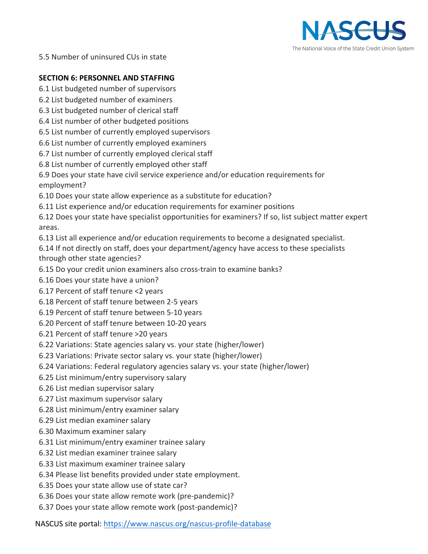

5.5 Number of uninsured CUs in state

### **SECTION 6: PERSONNEL AND STAFFING**

- 6.1 List budgeted number of supervisors
- 6.2 List budgeted number of examiners
- 6.3 List budgeted number of clerical staff
- 6.4 List number of other budgeted positions
- 6.5 List number of currently employed supervisors
- 6.6 List number of currently employed examiners
- 6.7 List number of currently employed clerical staff
- 6.8 List number of currently employed other staff

6.9 Does your state have civil service experience and/or education requirements for employment?

- 6.10 Does your state allow experience as a substitute for education?
- 6.11 List experience and/or education requirements for examiner positions
- 6.12 Does your state have specialist opportunities for examiners? If so, list subject matter expert areas.
- 6.13 List all experience and/or education requirements to become a designated specialist.
- 6.14 If not directly on staff, does your department/agency have access to these specialists through other state agencies?
- 6.15 Do your credit union examiners also cross-train to examine banks?
- 6.16 Does your state have a union?
- 6.17 Percent of staff tenure <2 years
- 6.18 Percent of staff tenure between 2-5 years
- 6.19 Percent of staff tenure between 5-10 years
- 6.20 Percent of staff tenure between 10-20 years
- 6.21 Percent of staff tenure >20 years
- 6.22 Variations: State agencies salary vs. your state (higher/lower)
- 6.23 Variations: Private sector salary vs. your state (higher/lower)
- 6.24 Variations: Federal regulatory agencies salary vs. your state (higher/lower)
- 6.25 List minimum/entry supervisory salary
- 6.26 List median supervisor salary
- 6.27 List maximum supervisor salary
- 6.28 List minimum/entry examiner salary
- 6.29 List median examiner salary
- 6.30 Maximum examiner salary
- 6.31 List minimum/entry examiner trainee salary
- 6.32 List median examiner trainee salary
- 6.33 List maximum examiner trainee salary
- 6.34 Please list benefits provided under state employment.
- 6.35 Does your state allow use of state car?
- 6.36 Does your state allow remote work (pre-pandemic)?
- 6.37 Does your state allow remote work (post-pandemic)?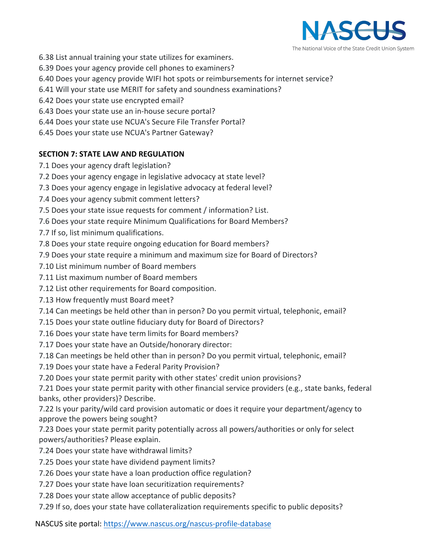

- 6.38 List annual training your state utilizes for examiners.
- 6.39 Does your agency provide cell phones to examiners?
- 6.40 Does your agency provide WIFI hot spots or reimbursements for internet service?
- 6.41 Will your state use MERIT for safety and soundness examinations?
- 6.42 Does your state use encrypted email?
- 6.43 Does your state use an in-house secure portal?
- 6.44 Does your state use NCUA's Secure File Transfer Portal?
- 6.45 Does your state use NCUA's Partner Gateway?

## **SECTION 7: STATE LAW AND REGULATION**

- 7.1 Does your agency draft legislation?
- 7.2 Does your agency engage in legislative advocacy at state level?
- 7.3 Does your agency engage in legislative advocacy at federal level?
- 7.4 Does your agency submit comment letters?
- 7.5 Does your state issue requests for comment / information? List.
- 7.6 Does your state require Minimum Qualifications for Board Members?
- 7.7 If so, list minimum qualifications.
- 7.8 Does your state require ongoing education for Board members?
- 7.9 Does your state require a minimum and maximum size for Board of Directors?
- 7.10 List minimum number of Board members
- 7.11 List maximum number of Board members
- 7.12 List other requirements for Board composition.
- 7.13 How frequently must Board meet?
- 7.14 Can meetings be held other than in person? Do you permit virtual, telephonic, email?
- 7.15 Does your state outline fiduciary duty for Board of Directors?
- 7.16 Does your state have term limits for Board members?
- 7.17 Does your state have an Outside/honorary director:
- 7.18 Can meetings be held other than in person? Do you permit virtual, telephonic, email?
- 7.19 Does your state have a Federal Parity Provision?
- 7.20 Does your state permit parity with other states' credit union provisions?

7.21 Does your state permit parity with other financial service providers (e.g., state banks, federal banks, other providers)? Describe.

7.22 Is your parity/wild card provision automatic or does it require your department/agency to approve the powers being sought?

7.23 Does your state permit parity potentially across all powers/authorities or only for select powers/authorities? Please explain.

- 7.24 Does your state have withdrawal limits?
- 7.25 Does your state have dividend payment limits?
- 7.26 Does your state have a loan production office regulation?
- 7.27 Does your state have loan securitization requirements?
- 7.28 Does your state allow acceptance of public deposits?
- 7.29 If so, does your state have collateralization requirements specific to public deposits?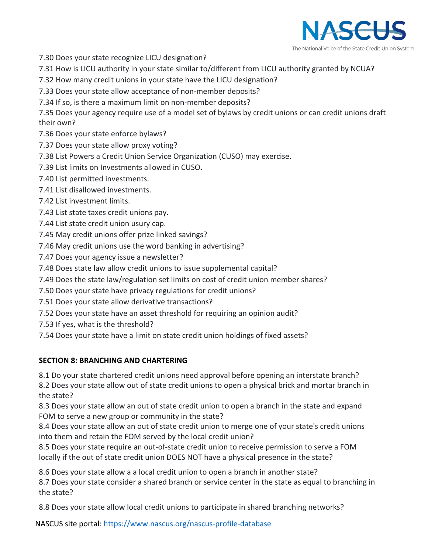

- 7.30 Does your state recognize LICU designation?
- 7.31 How is LICU authority in your state similar to/different from LICU authority granted by NCUA?
- 7.32 How many credit unions in your state have the LICU designation?
- 7.33 Does your state allow acceptance of non-member deposits?
- 7.34 If so, is there a maximum limit on non-member deposits?
- 7.35 Does your agency require use of a model set of bylaws by credit unions or can credit unions draft their own?
- 7.36 Does your state enforce bylaws?
- 7.37 Does your state allow proxy voting?
- 7.38 List Powers a Credit Union Service Organization (CUSO) may exercise.
- 7.39 List limits on Investments allowed in CUSO.
- 7.40 List permitted investments.
- 7.41 List disallowed investments.
- 7.42 List investment limits.
- 7.43 List state taxes credit unions pay.
- 7.44 List state credit union usury cap.
- 7.45 May credit unions offer prize linked savings?
- 7.46 May credit unions use the word banking in advertising?
- 7.47 Does your agency issue a newsletter?
- 7.48 Does state law allow credit unions to issue supplemental capital?
- 7.49 Does the state law/regulation set limits on cost of credit union member shares?
- 7.50 Does your state have privacy regulations for credit unions?
- 7.51 Does your state allow derivative transactions?
- 7.52 Does your state have an asset threshold for requiring an opinion audit?
- 7.53 If yes, what is the threshold?
- 7.54 Does your state have a limit on state credit union holdings of fixed assets?

## **SECTION 8: BRANCHING AND CHARTERING**

- 8.1 Do your state chartered credit unions need approval before opening an interstate branch?
- 8.2 Does your state allow out of state credit unions to open a physical brick and mortar branch in the state?
- 8.3 Does your state allow an out of state credit union to open a branch in the state and expand FOM to serve a new group or community in the state?
- 8.4 Does your state allow an out of state credit union to merge one of your state's credit unions into them and retain the FOM served by the local credit union?
- 8.5 Does your state require an out-of-state credit union to receive permission to serve a FOM locally if the out of state credit union DOES NOT have a physical presence in the state?
- 8.6 Does your state allow a a local credit union to open a branch in another state?
- 8.7 Does your state consider a shared branch or service center in the state as equal to branching in the state?
- 8.8 Does your state allow local credit unions to participate in shared branching networks?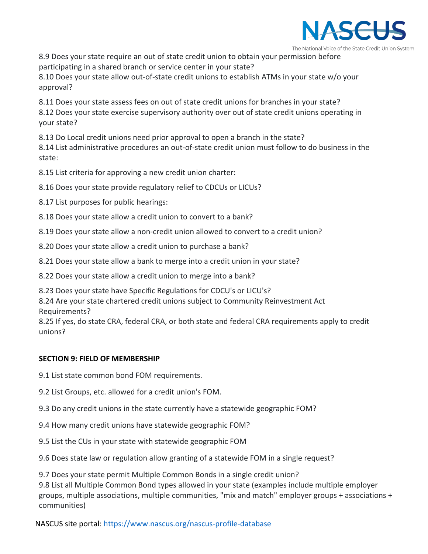

The National Voice of the State Credit Union System

8.9 Does your state require an out of state credit union to obtain your permission before participating in a shared branch or service center in your state?

8.10 Does your state allow out-of-state credit unions to establish ATMs in your state w/o your approval?

8.11 Does your state assess fees on out of state credit unions for branches in your state? 8.12 Does your state exercise supervisory authority over out of state credit unions operating in

your state?

8.13 Do Local credit unions need prior approval to open a branch in the state?

8.14 List administrative procedures an out-of-state credit union must follow to do business in the state:

8.15 List criteria for approving a new credit union charter:

8.16 Does your state provide regulatory relief to CDCUs or LICUs?

8.17 List purposes for public hearings:

8.18 Does your state allow a credit union to convert to a bank?

8.19 Does your state allow a non-credit union allowed to convert to a credit union?

8.20 Does your state allow a credit union to purchase a bank?

8.21 Does your state allow a bank to merge into a credit union in your state?

8.22 Does your state allow a credit union to merge into a bank?

8.23 Does your state have Specific Regulations for CDCU's or LICU's?

8.24 Are your state chartered credit unions subject to Community Reinvestment Act Requirements?

8.25 If yes, do state CRA, federal CRA, or both state and federal CRA requirements apply to credit unions?

#### **SECTION 9: FIELD OF MEMBERSHIP**

9.1 List state common bond FOM requirements.

9.2 List Groups, etc. allowed for a credit union's FOM.

9.3 Do any credit unions in the state currently have a statewide geographic FOM?

9.4 How many credit unions have statewide geographic FOM?

9.5 List the CUs in your state with statewide geographic FOM

9.6 Does state law or regulation allow granting of a statewide FOM in a single request?

9.7 Does your state permit Multiple Common Bonds in a single credit union? 9.8 List all Multiple Common Bond types allowed in your state (examples include multiple employer groups, multiple associations, multiple communities, "mix and match" employer groups + associations + communities)